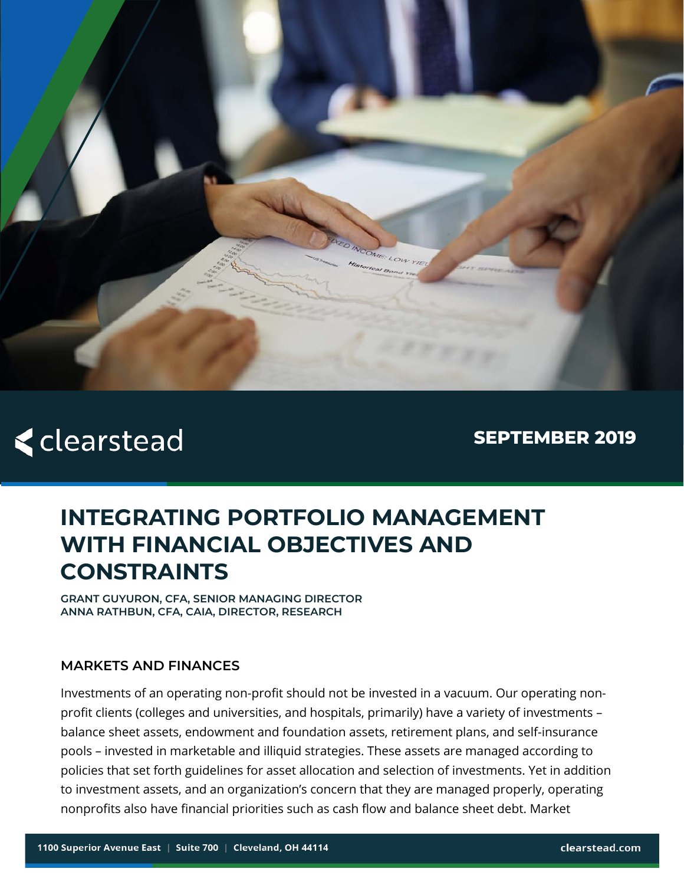

# **<clearstead**

**SEPTEMBER 2019** 

# **INTEGRATING PORTFOLIO MANAGEMENT WITH FINANCIAL OBJECTIVES AND CONSTRAINTS**

**GRANT GUYURON, CFA, SENIOR MANAGING DIRECTOR ANNA RATHBUN, CFA, CAIA, DIRECTOR, RESEARCH**

#### **MARKETS AND FINANCES**

Investments of an operating non-profit should not be invested in a vacuum. Our operating nonprofit clients (colleges and universities, and hospitals, primarily) have a variety of investments – balance sheet assets, endowment and foundation assets, retirement plans, and self-insurance pools – invested in marketable and illiquid strategies. These assets are managed according to policies that set forth guidelines for asset allocation and selection of investments. Yet in addition to investment assets, and an organization's concern that they are managed properly, operating nonprofits also have financial priorities such as cash flow and balance sheet debt. Market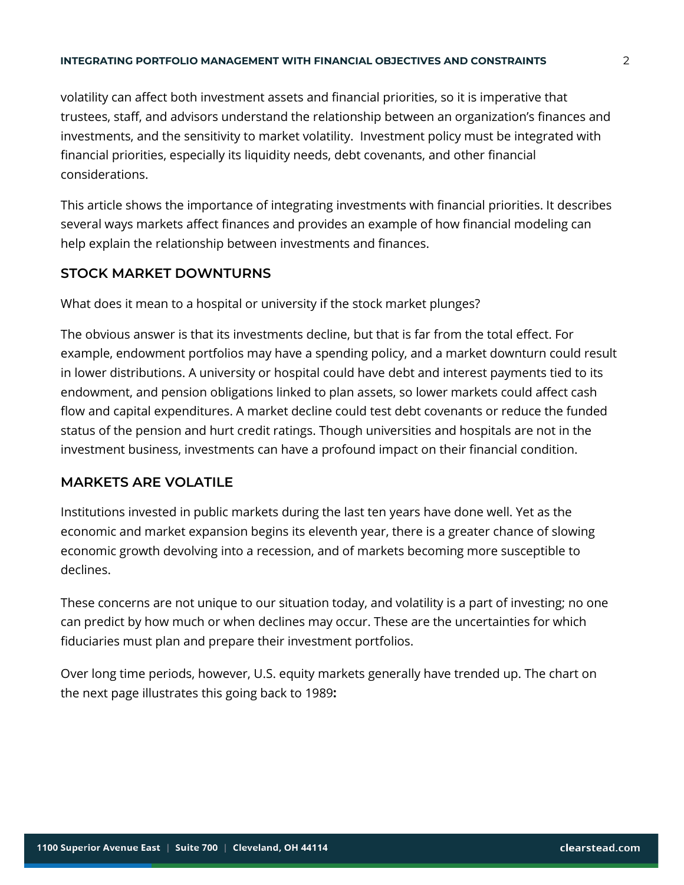#### **INTEGRATING PORTFOLIO MANAGEMENT WITH FINANCIAL OBJECTIVES AND CONSTRAINTS** 2

volatility can affect both investment assets and financial priorities, so it is imperative that trustees, staff, and advisors understand the relationship between an organization's finances and investments, and the sensitivity to market volatility. Investment policy must be integrated with financial priorities, especially its liquidity needs, debt covenants, and other financial considerations.

This article shows the importance of integrating investments with financial priorities. It describes several ways markets affect finances and provides an example of how financial modeling can help explain the relationship between investments and finances.

#### **STOCK MARKET DOWNTURNS**

What does it mean to a hospital or university if the stock market plunges?

The obvious answer is that its investments decline, but that is far from the total effect. For example, endowment portfolios may have a spending policy, and a market downturn could result in lower distributions. A university or hospital could have debt and interest payments tied to its endowment, and pension obligations linked to plan assets, so lower markets could affect cash flow and capital expenditures. A market decline could test debt covenants or reduce the funded status of the pension and hurt credit ratings. Though universities and hospitals are not in the investment business, investments can have a profound impact on their financial condition.

#### **MARKETS ARE VOLATILE**

Institutions invested in public markets during the last ten years have done well. Yet as the economic and market expansion begins its eleventh year, there is a greater chance of slowing economic growth devolving into a recession, and of markets becoming more susceptible to declines.

These concerns are not unique to our situation today, and volatility is a part of investing; no one can predict by how much or when declines may occur. These are the uncertainties for which fiduciaries must plan and prepare their investment portfolios.

Over long time periods, however, U.S. equity markets generally have trended up. The chart on the next page illustrates this going back to 1989**:**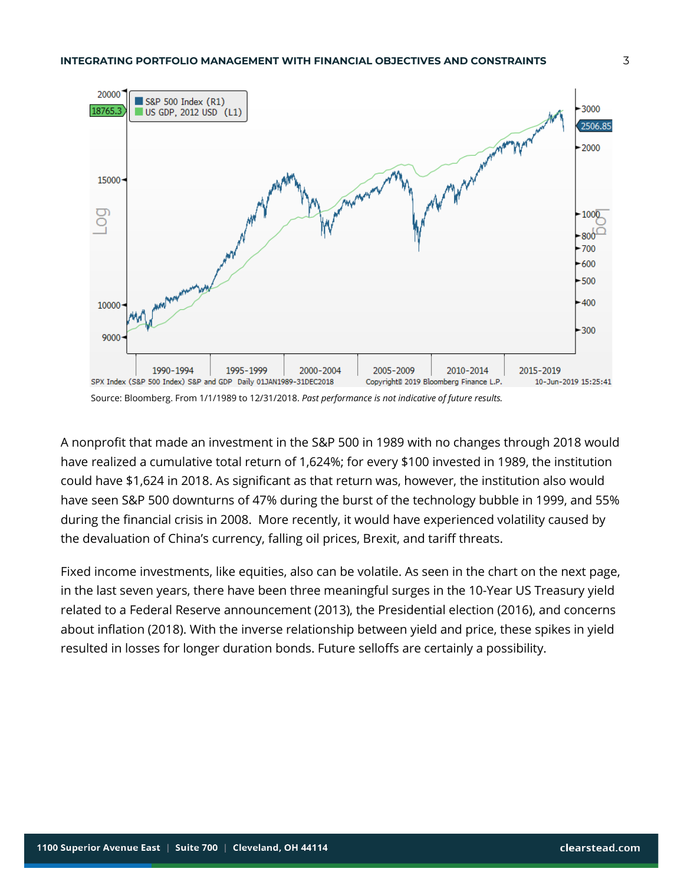

A nonprofit that made an investment in the S&P 500 in 1989 with no changes through 2018 would have realized a cumulative total return of 1,624%; for every \$100 invested in 1989, the institution could have \$1,624 in 2018. As significant as that return was, however, the institution also would have seen S&P 500 downturns of 47% during the burst of the technology bubble in 1999, and 55% during the financial crisis in 2008. More recently, it would have experienced volatility caused by the devaluation of China's currency, falling oil prices, Brexit, and tariff threats.

Fixed income investments, like equities, also can be volatile. As seen in the chart on the next page, in the last seven years, there have been three meaningful surges in the 10-Year US Treasury yield related to a Federal Reserve announcement (2013), the Presidential election (2016), and concerns about inflation (2018). With the inverse relationship between yield and price, these spikes in yield resulted in losses for longer duration bonds. Future selloffs are certainly a possibility.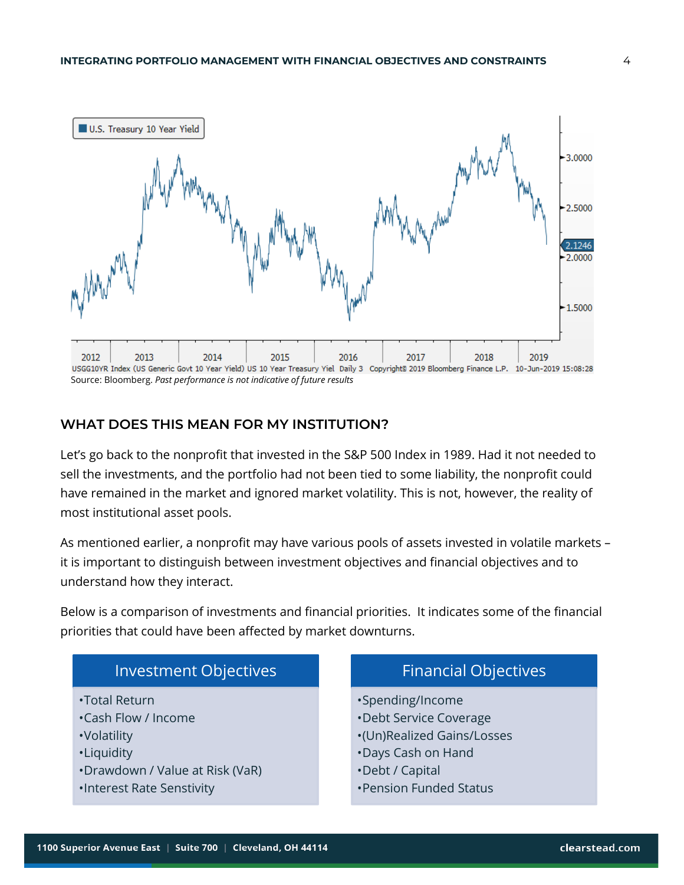

#### **WHAT DOES THIS MEAN FOR MY INSTITUTION?**

Let's go back to the nonprofit that invested in the S&P 500 Index in 1989. Had it not needed to sell the investments, and the portfolio had not been tied to some liability, the nonprofit could have remained in the market and ignored market volatility. This is not, however, the reality of most institutional asset pools.

As mentioned earlier, a nonprofit may have various pools of assets invested in volatile markets – it is important to distinguish between investment objectives and financial objectives and to understand how they interact.

Below is a comparison of investments and financial priorities. It indicates some of the financial priorities that could have been affected by market downturns.

## Investment Objectives •Total Return •Cash Flow / Income •Volatility

- •Liquidity
- •Drawdown / Value at Risk (VaR)
- •Interest Rate Senstivity

### Financial Objectives

- •Spending/Income
- •Debt Service Coverage
- •(Un)Realized Gains/Losses
- •Days Cash on Hand
- •Debt / Capital
- •Pension Funded Status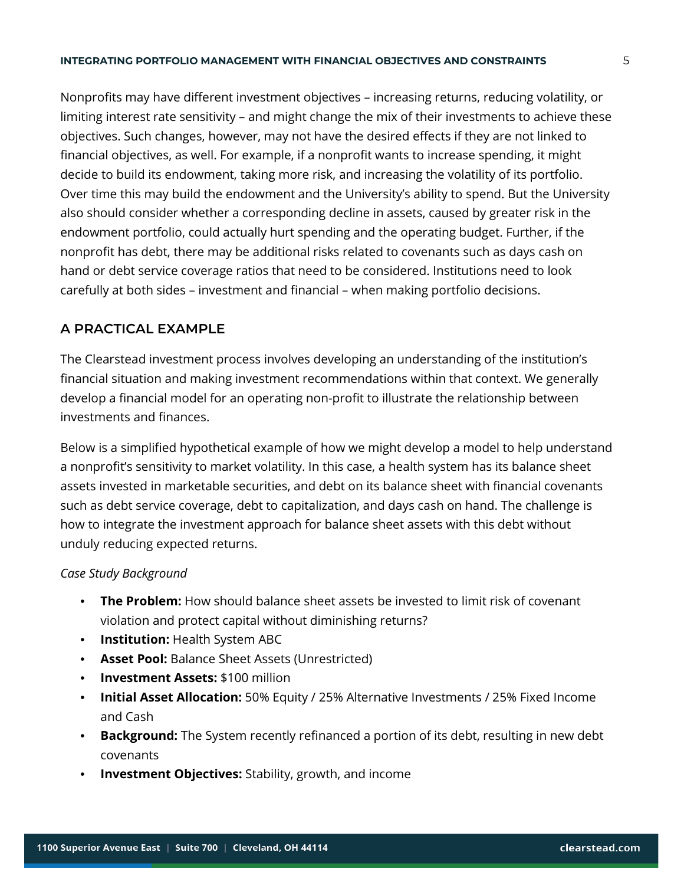#### **INTEGRATING PORTFOLIO MANAGEMENT WITH FINANCIAL OBJECTIVES AND CONSTRAINTS** 5

Nonprofits may have different investment objectives – increasing returns, reducing volatility, or limiting interest rate sensitivity – and might change the mix of their investments to achieve these objectives. Such changes, however, may not have the desired effects if they are not linked to financial objectives, as well. For example, if a nonprofit wants to increase spending, it might decide to build its endowment, taking more risk, and increasing the volatility of its portfolio. Over time this may build the endowment and the University's ability to spend. But the University also should consider whether a corresponding decline in assets, caused by greater risk in the endowment portfolio, could actually hurt spending and the operating budget. Further, if the nonprofit has debt, there may be additional risks related to covenants such as days cash on hand or debt service coverage ratios that need to be considered. Institutions need to look carefully at both sides – investment and financial – when making portfolio decisions.

#### **A PRACTICAL EXAMPLE**

The Clearstead investment process involves developing an understanding of the institution's financial situation and making investment recommendations within that context. We generally develop a financial model for an operating non-profit to illustrate the relationship between investments and finances.

Below is a simplified hypothetical example of how we might develop a model to help understand a nonprofit's sensitivity to market volatility. In this case, a health system has its balance sheet assets invested in marketable securities, and debt on its balance sheet with financial covenants such as debt service coverage, debt to capitalization, and days cash on hand. The challenge is how to integrate the investment approach for balance sheet assets with this debt without unduly reducing expected returns.

#### *Case Study Background*

- **The Problem:** How should balance sheet assets be invested to limit risk of covenant violation and protect capital without diminishing returns?
- **Institution:** Health System ABC
- **Asset Pool:** Balance Sheet Assets (Unrestricted)
- **Investment Assets:** \$100 million
- **Initial Asset Allocation:** 50% Equity / 25% Alternative Investments / 25% Fixed Income and Cash
- **Background:** The System recently refinanced a portion of its debt, resulting in new debt covenants
- **Investment Objectives:** Stability, growth, and income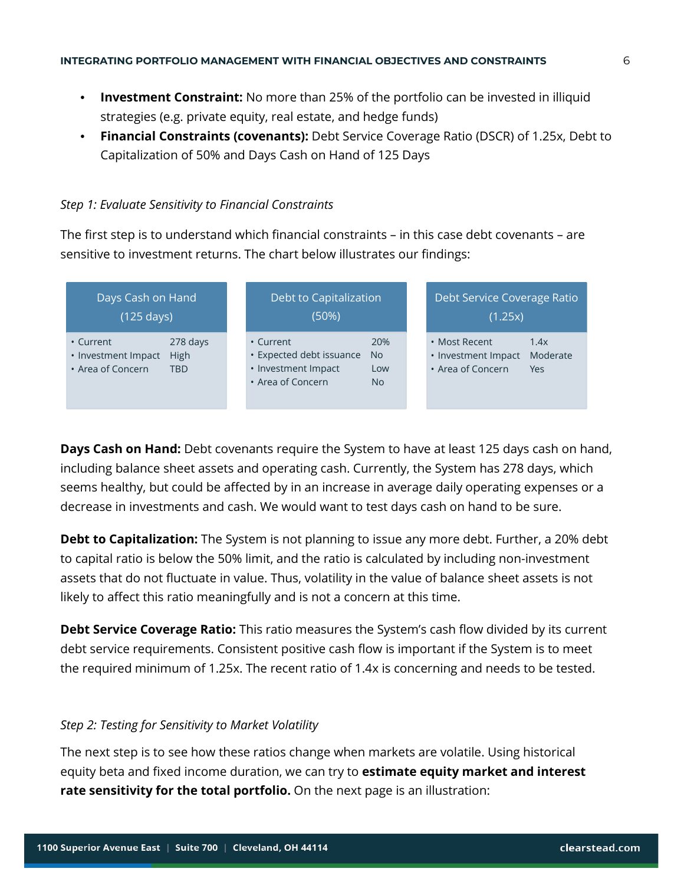- **Investment Constraint:** No more than 25% of the portfolio can be invested in illiquid strategies (e.g. private equity, real estate, and hedge funds)
- **Financial Constraints (covenants):** Debt Service Coverage Ratio (DSCR) of 1.25x, Debt to Capitalization of 50% and Days Cash on Hand of 125 Days

#### *Step 1: Evaluate Sensitivity to Financial Constraints*

The first step is to understand which financial constraints – in this case debt covenants – are sensitive to investment returns. The chart below illustrates our findings:

| Days Cash on Hand<br>$(125 \text{ days})$                                                      | Debt to Capitalization<br>(50%)                                                   |                                      | Debt Service Coverage Ratio<br>(1.25x)                    |                         |  |
|------------------------------------------------------------------------------------------------|-----------------------------------------------------------------------------------|--------------------------------------|-----------------------------------------------------------|-------------------------|--|
| 278 days<br>• Current<br><b>High</b><br>• Investment Impact<br>• Area of Concern<br><b>TBD</b> | • Current<br>• Expected debt issuance<br>• Investment Impact<br>• Area of Concern | 20%<br><b>No</b><br>Low<br><b>No</b> | • Most Recent<br>• Investment Impact<br>• Area of Concern | 1.4x<br>Moderate<br>Yes |  |

**Days Cash on Hand:** Debt covenants require the System to have at least 125 days cash on hand, including balance sheet assets and operating cash. Currently, the System has 278 days, which seems healthy, but could be affected by in an increase in average daily operating expenses or a decrease in investments and cash. We would want to test days cash on hand to be sure.

**Debt to Capitalization:** The System is not planning to issue any more debt. Further, a 20% debt to capital ratio is below the 50% limit, and the ratio is calculated by including non-investment assets that do not fluctuate in value. Thus, volatility in the value of balance sheet assets is not likely to affect this ratio meaningfully and is not a concern at this time.

**Debt Service Coverage Ratio:** This ratio measures the System's cash flow divided by its current debt service requirements. Consistent positive cash flow is important if the System is to meet the required minimum of 1.25x. The recent ratio of 1.4x is concerning and needs to be tested.

#### *Step 2: Testing for Sensitivity to Market Volatility*

The next step is to see how these ratios change when markets are volatile. Using historical equity beta and fixed income duration, we can try to **estimate equity market and interest rate sensitivity for the total portfolio.** On the next page is an illustration: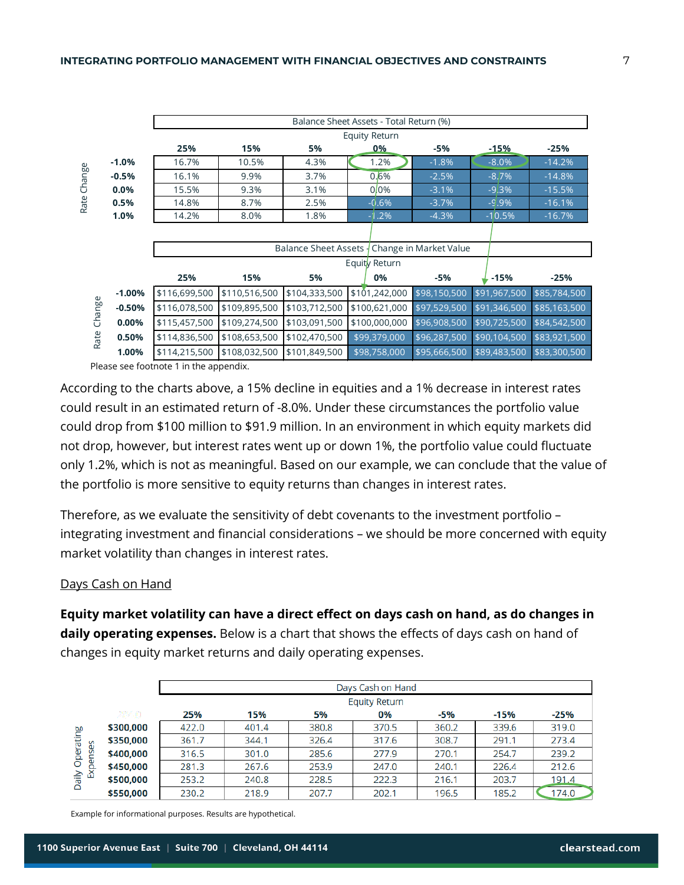|        |          | Balance Sheet Assets - Total Return (%) |               |                        |                      |                        |              |              |  |  |
|--------|----------|-----------------------------------------|---------------|------------------------|----------------------|------------------------|--------------|--------------|--|--|
|        |          |                                         |               |                        | <b>Equity Return</b> |                        |              |              |  |  |
|        |          | 25%                                     | 15%           | 5%                     | 0%                   | -5%                    | $-15%$       | $-25%$       |  |  |
|        | $-1.0%$  | 16.7%                                   | 10.5%         | 4.3%                   | 1.2%                 | $-1.8%$                | $-8.0%$      | $-14.2%$     |  |  |
| Change | $-0.5%$  | 16.1%                                   | 9.9%          | 3.7%                   | 0.6%                 | $-2.5%$                | $-8.7%$      | $-14.8%$     |  |  |
|        | 0.0%     | 15.5%                                   | 9.3%          | 3.1%                   | $0.0\%$              | $-3.1%$                | $-9.3%$      | $-15.5%$     |  |  |
| Rate   | 0.5%     | 14.8%                                   | 8.7%          | 2.5%                   | $-0.6%$              | $-3.7%$                | $-9.9%$      | $-16.1%$     |  |  |
|        | 1.0%     | 14.2%                                   | 8.0%          | 1.8%                   | $-1.2%$              | $-4.3%$                | $-10.5%$     | $-16.7%$     |  |  |
|        |          |                                         |               |                        |                      |                        |              |              |  |  |
|        |          |                                         |               | Balance Sheet Assets - |                      | Change in Market Value |              |              |  |  |
|        |          | Equity Return                           |               |                        |                      |                        |              |              |  |  |
|        |          | 25%                                     | 15%           | 5%                     | 0%                   | $-5%$                  | $-15%$       | $-25%$       |  |  |
|        | $-1.00%$ | \$116,699,500                           | \$110,516,500 | \$104,333,500          | \$101,242,000        | \$98,150,500           | \$91,967,500 | \$85,784,500 |  |  |
| Change | $-0.50%$ | \$116,078,500                           | \$109,895,500 | \$103,712,500          | \$100,621,000        | \$97,529,500           | \$91,346,500 | \$85,163,500 |  |  |
|        | 0.00%    | \$115,457,500                           | \$109,274,500 | \$103,091,500          | \$100,000,000        | \$96,908,500           | \$90,725,500 | \$84,542,500 |  |  |
| Rate   | 0.50%    | \$114,836,500                           | \$108,653,500 | \$102,470,500          | \$99,379,000         | \$96,287,500           | \$90,104,500 | \$83,921,500 |  |  |
|        | 1.00%    | \$114,215,500                           | \$108,032,500 | \$101,849,500          | \$98,758,000         | \$95,666,500           | \$89,483,500 | \$83,300,500 |  |  |
|        |          | Place son footpoto 1 in the appendix    |               |                        |                      |                        |              |              |  |  |

Please see footnote 1 in the appendix.

According to the charts above, a 15% decline in equities and a 1% decrease in interest rates could result in an estimated return of -8.0%. Under these circumstances the portfolio value could drop from \$100 million to \$91.9 million. In an environment in which equity markets did not drop, however, but interest rates went up or down 1%, the portfolio value could fluctuate only 1.2%, which is not as meaningful. Based on our example, we can conclude that the value of the portfolio is more sensitive to equity returns than changes in interest rates.

Therefore, as we evaluate the sensitivity of debt covenants to the investment portfolio – integrating investment and financial considerations – we should be more concerned with equity market volatility than changes in interest rates.

#### Days Cash on Hand

**Equity market volatility can have a direct effect on days cash on hand, as do changes in daily operating expenses.** Below is a chart that shows the effects of days cash on hand of changes in equity market returns and daily operating expenses.

|                   |           | Days Cash on Hand                               |       |       |       |       |       |       |  |  |  |  |
|-------------------|-----------|-------------------------------------------------|-------|-------|-------|-------|-------|-------|--|--|--|--|
|                   |           | <b>Equity Return</b>                            |       |       |       |       |       |       |  |  |  |  |
|                   | 284.0     | 25%<br>15%<br>5%<br>0%<br>-5%<br>-15%<br>$-25%$ |       |       |       |       |       |       |  |  |  |  |
| ğδ<br>Operatin    | \$300,000 | 422.0                                           | 401.4 | 380.8 | 370.5 | 360.2 | 339.6 | 319.0 |  |  |  |  |
|                   | \$350,000 | 361.7                                           | 344.1 | 326.4 | 317.6 | 308.7 | 291.1 | 273.4 |  |  |  |  |
|                   | \$400,000 | 316.5                                           | 301.0 | 285.6 | 277.9 | 270.1 | 254.7 | 239.2 |  |  |  |  |
| Expenses<br>Daily | \$450,000 | 281.3                                           | 267.6 | 253.9 | 247.0 | 240.1 | 226.4 | 212.6 |  |  |  |  |
|                   | \$500,000 | 253.2                                           | 240.8 | 228.5 | 222.3 | 216.1 | 203.7 | 191.4 |  |  |  |  |
|                   | \$550,000 | 230.2                                           | 218.9 | 207.7 | 202.1 | 196.5 | 185.2 | 174.0 |  |  |  |  |

Example for informational purposes. Results are hypothetical.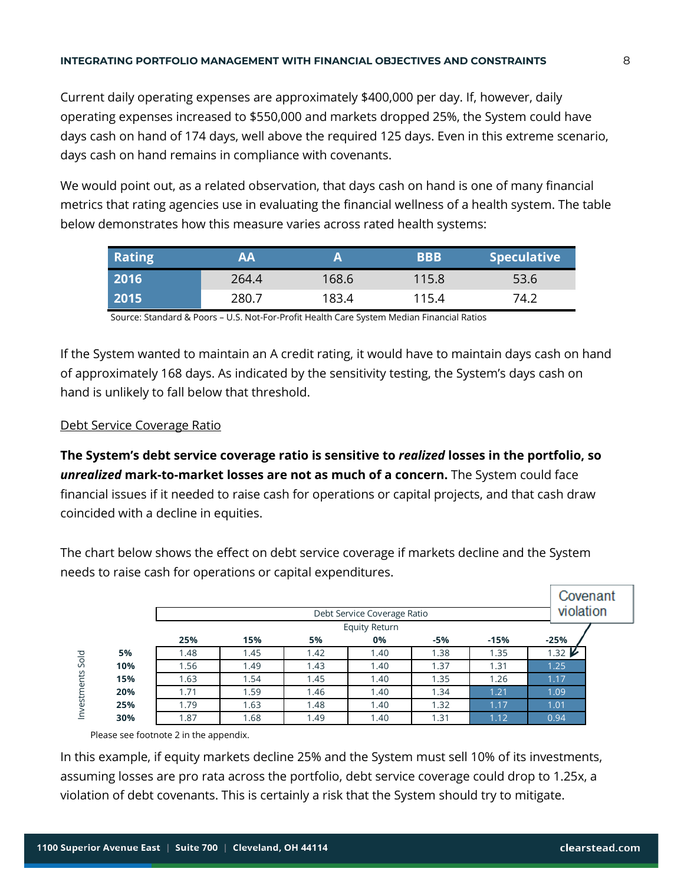Current daily operating expenses are approximately \$400,000 per day. If, however, daily operating expenses increased to \$550,000 and markets dropped 25%, the System could have days cash on hand of 174 days, well above the required 125 days. Even in this extreme scenario, days cash on hand remains in compliance with covenants.

We would point out, as a related observation, that days cash on hand is one of many financial metrics that rating agencies use in evaluating the financial wellness of a health system. The table below demonstrates how this measure varies across rated health systems:

| Rating | AA    |       | <b>BBB</b> | <b>Speculative</b> |
|--------|-------|-------|------------|--------------------|
| 2016   | 264.4 | 168.6 | 115.8      | 53.6               |
| 2015   | 280.7 | 183.4 | 115.4      | 74.2               |

Source: Standard & Poors – U.S. Not-For-Profit Health Care System Median Financial Ratios

If the System wanted to maintain an A credit rating, it would have to maintain days cash on hand of approximately 168 days. As indicated by the sensitivity testing, the System's days cash on hand is unlikely to fall below that threshold.

#### Debt Service Coverage Ratio

**The System's debt service coverage ratio is sensitive to** *realized* **losses in the portfolio, so**  *unrealized* **mark-to-market losses are not as much of a concern.** The System could face financial issues if it needed to raise cash for operations or capital projects, and that cash draw coincided with a decline in equities.

The chart below shows the effect on debt service coverage if markets decline and the System needs to raise cash for operations or capital expenditures.

|                    |     | Debt Service Coverage Ratio |      |      |                      |       |        |                   | Covenant<br>violation |
|--------------------|-----|-----------------------------|------|------|----------------------|-------|--------|-------------------|-----------------------|
|                    |     |                             |      |      | <b>Equity Return</b> |       |        |                   |                       |
|                    |     | 25%                         | 15%  | 5%   | 0%                   | $-5%$ | $-15%$ | $-25%$            |                       |
| Sold<br>nvestments | 5%  | 1.48                        | 1.45 | 1.42 | 1.40                 | 1.38  | 1.35   | $1.32 \mathbf{V}$ |                       |
|                    | 10% | 1.56                        | 1.49 | 1.43 | 1.40                 | 1.37  | 1.31   | 1.25              |                       |
|                    | 15% | 1.63                        | 1.54 | 1.45 | 1.40                 | 1.35  | 1.26   | 1.17              |                       |
|                    | 20% | 1.71                        | 1.59 | 1.46 | 1.40                 | 1.34  | 1.21   | 1.09              |                       |
|                    | 25% | 1.79                        | 1.63 | 1.48 | 1.40                 | 1.32  | 1.17   | 1.01              |                       |
|                    | 30% | 1.87                        | 1.68 | 1.49 | 1.40                 | 1.31  | 1.12   | 0.94              |                       |

Please see footnote 2 in the appendix.

In this example, if equity markets decline 25% and the System must sell 10% of its investments, assuming losses are pro rata across the portfolio, debt service coverage could drop to 1.25x, a violation of debt covenants. This is certainly a risk that the System should try to mitigate.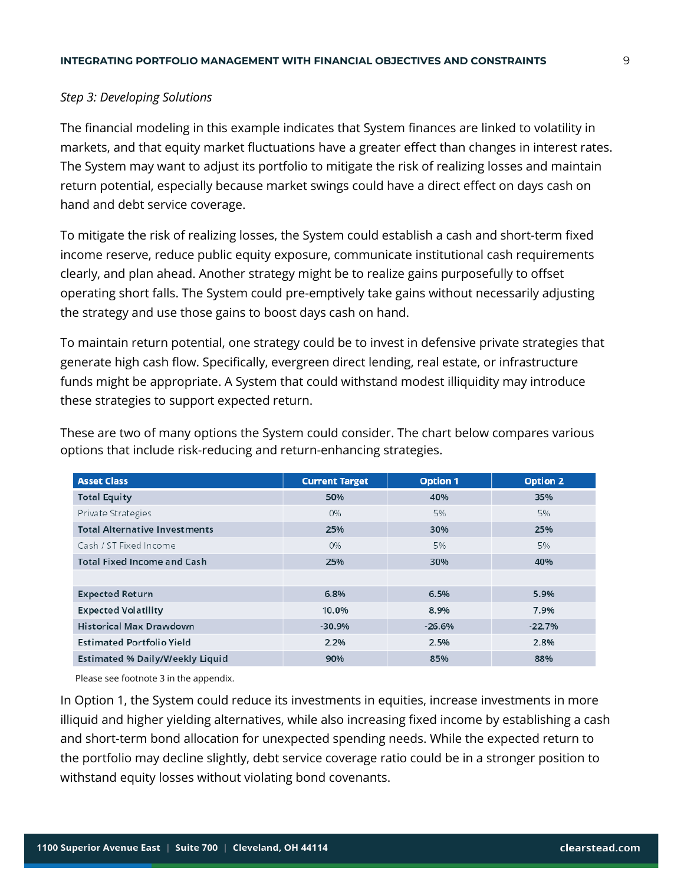#### *Step 3: Developing Solutions*

The financial modeling in this example indicates that System finances are linked to volatility in markets, and that equity market fluctuations have a greater effect than changes in interest rates. The System may want to adjust its portfolio to mitigate the risk of realizing losses and maintain return potential, especially because market swings could have a direct effect on days cash on hand and debt service coverage.

To mitigate the risk of realizing losses, the System could establish a cash and short-term fixed income reserve, reduce public equity exposure, communicate institutional cash requirements clearly, and plan ahead. Another strategy might be to realize gains purposefully to offset operating short falls. The System could pre-emptively take gains without necessarily adjusting the strategy and use those gains to boost days cash on hand.

To maintain return potential, one strategy could be to invest in defensive private strategies that generate high cash flow. Specifically, evergreen direct lending, real estate, or infrastructure funds might be appropriate. A System that could withstand modest illiquidity may introduce these strategies to support expected return.

| <b>Asset Class</b>                     | <b>Current Target</b> | <b>Option 1</b> | <b>Option 2</b> |
|----------------------------------------|-----------------------|-----------------|-----------------|
| <b>Total Equity</b>                    | 50%                   | 40%             | 35%             |
| Private Strategies                     | O%                    | 5%              | 5%              |
| <b>Total Alternative Investments</b>   | 25%                   | 30%             | 25%             |
| Cash / ST Fixed Income                 | O%                    | 5%              | 5%              |
| <b>Total Fixed Income and Cash</b>     | 25%                   | 30%             | 40%             |
|                                        |                       |                 |                 |
| <b>Expected Return</b>                 | 6.8%                  | 6.5%            | 5.9%            |
| <b>Expected Volatility</b>             | 10.0%                 | 8.9%            | 7.9%            |
| <b>Historical Max Drawdown</b>         | $-30.9%$              | $-26.6%$        | $-22.7%$        |
| <b>Estimated Portfolio Yield</b>       | 2.2%                  | 2.5%            | 2.8%            |
| <b>Estimated % Daily/Weekly Liquid</b> | 90%                   | 85%             | 88%             |

These are two of many options the System could consider. The chart below compares various options that include risk-reducing and return-enhancing strategies.

Please see footnote 3 in the appendix.

In Option 1, the System could reduce its investments in equities, increase investments in more illiquid and higher yielding alternatives, while also increasing fixed income by establishing a cash and short-term bond allocation for unexpected spending needs. While the expected return to the portfolio may decline slightly, debt service coverage ratio could be in a stronger position to withstand equity losses without violating bond covenants.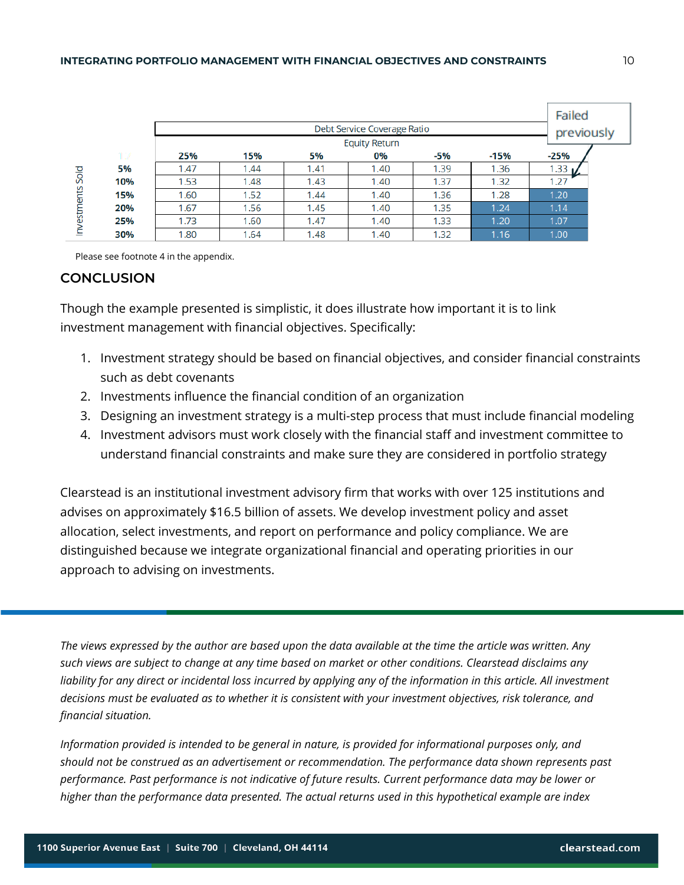|             |     |       |      |      |                             |      |        | Failed     |  |
|-------------|-----|-------|------|------|-----------------------------|------|--------|------------|--|
|             |     |       |      |      | Debt Service Coverage Ratio |      |        | previously |  |
|             |     |       |      |      | <b>Equity Return</b>        |      |        |            |  |
|             | 17  | 25%   | 15%  | 5%   | 0%                          | -5%  | $-15%$ | -25%       |  |
|             | 5%  | i .47 | 1.44 | 1.41 | 1.40                        | 1.39 | 1.36   | 1.33       |  |
| Sold        | 10% | 1.53  | 1.48 | 1.43 | 1.40                        | 1.37 | 1.32   | 1.27       |  |
| Investments | 15% | 1.60  | 1.52 | 1.44 | 1.40                        | 1.36 | 1.28   | 1.20       |  |
|             | 20% | 1.67  | 1.56 | 1.45 | 1.40                        | 1.35 | 1.24   | 1.14       |  |
|             | 25% | 1.73  | 1.60 | 1.47 | 1.40                        | 1.33 | 1.20   | 1.07       |  |
|             | 30% | 1.80  | 1.64 | 1.48 | 1.40                        | 1.32 | 1.16   | 1.00       |  |

Please see footnote 4 in the appendix.

#### **CONCLUSION**

Though the example presented is simplistic, it does illustrate how important it is to link investment management with financial objectives. Specifically:

- 1. Investment strategy should be based on financial objectives, and consider financial constraints such as debt covenants
- 2. Investments influence the financial condition of an organization
- 3. Designing an investment strategy is a multi-step process that must include financial modeling
- 4. Investment advisors must work closely with the financial staff and investment committee to understand financial constraints and make sure they are considered in portfolio strategy

Clearstead is an institutional investment advisory firm that works with over 125 institutions and advises on approximately \$16.5 billion of assets. We develop investment policy and asset allocation, select investments, and report on performance and policy compliance. We are distinguished because we integrate organizational financial and operating priorities in our approach to advising on investments.

*The views expressed by the author are based upon the data available at the time the article was written. Any such views are subject to change at any time based on market or other conditions. Clearstead disclaims any*  liability for any direct or incidental loss incurred by applying any of the information in this article. All investment *decisions must be evaluated as to whether it is consistent with your investment objectives, risk tolerance, and financial situation.* 

*Information provided is intended to be general in nature, is provided for informational purposes only, and should not be construed as an advertisement or recommendation. The performance data shown represents past performance. Past performance is not indicative of future results. Current performance data may be lower or higher than the performance data presented. The actual returns used in this hypothetical example are index*